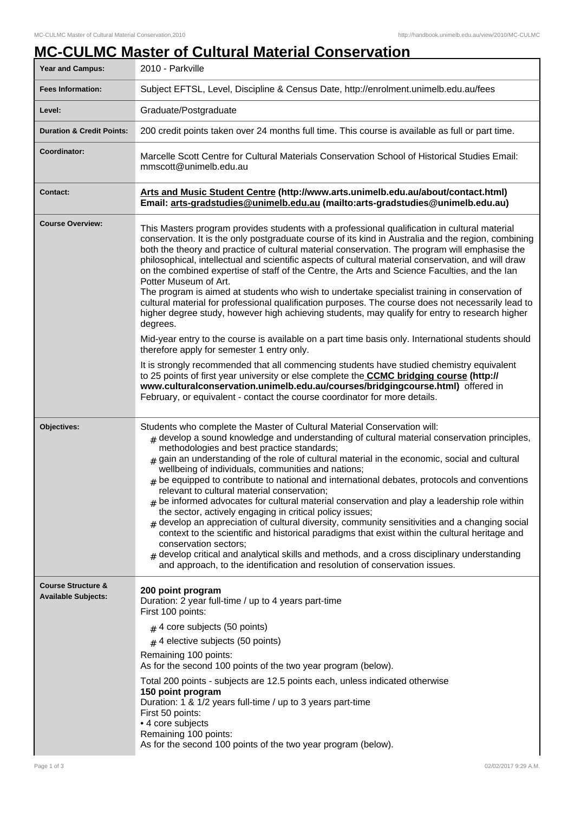## **MC-CULMC Master of Cultural Material Conservation**

| Year and Campus:                                            | 2010 - Parkville                                                                                                                                                                                                                                                                                                                                                                                                                                                                                                                                                                                                                                                                                                                                                                                                                                                                                                                                                                                                                                                                                                  |
|-------------------------------------------------------------|-------------------------------------------------------------------------------------------------------------------------------------------------------------------------------------------------------------------------------------------------------------------------------------------------------------------------------------------------------------------------------------------------------------------------------------------------------------------------------------------------------------------------------------------------------------------------------------------------------------------------------------------------------------------------------------------------------------------------------------------------------------------------------------------------------------------------------------------------------------------------------------------------------------------------------------------------------------------------------------------------------------------------------------------------------------------------------------------------------------------|
| <b>Fees Information:</b>                                    | Subject EFTSL, Level, Discipline & Census Date, http://enrolment.unimelb.edu.au/fees                                                                                                                                                                                                                                                                                                                                                                                                                                                                                                                                                                                                                                                                                                                                                                                                                                                                                                                                                                                                                              |
| Level:                                                      | Graduate/Postgraduate                                                                                                                                                                                                                                                                                                                                                                                                                                                                                                                                                                                                                                                                                                                                                                                                                                                                                                                                                                                                                                                                                             |
| <b>Duration &amp; Credit Points:</b>                        | 200 credit points taken over 24 months full time. This course is available as full or part time.                                                                                                                                                                                                                                                                                                                                                                                                                                                                                                                                                                                                                                                                                                                                                                                                                                                                                                                                                                                                                  |
| Coordinator:                                                | Marcelle Scott Centre for Cultural Materials Conservation School of Historical Studies Email:<br>mmscott@unimelb.edu.au                                                                                                                                                                                                                                                                                                                                                                                                                                                                                                                                                                                                                                                                                                                                                                                                                                                                                                                                                                                           |
| <b>Contact:</b>                                             | Arts and Music Student Centre (http://www.arts.unimelb.edu.au/about/contact.html)<br>Email: arts-gradstudies@unimelb.edu.au (mailto:arts-gradstudies@unimelb.edu.au)                                                                                                                                                                                                                                                                                                                                                                                                                                                                                                                                                                                                                                                                                                                                                                                                                                                                                                                                              |
| <b>Course Overview:</b>                                     | This Masters program provides students with a professional qualification in cultural material<br>conservation. It is the only postgraduate course of its kind in Australia and the region, combining<br>both the theory and practice of cultural material conservation. The program will emphasise the<br>philosophical, intellectual and scientific aspects of cultural material conservation, and will draw<br>on the combined expertise of staff of the Centre, the Arts and Science Faculties, and the lan<br>Potter Museum of Art.<br>The program is aimed at students who wish to undertake specialist training in conservation of<br>cultural material for professional qualification purposes. The course does not necessarily lead to<br>higher degree study, however high achieving students, may qualify for entry to research higher<br>degrees.<br>Mid-year entry to the course is available on a part time basis only. International students should<br>therefore apply for semester 1 entry only.                                                                                                  |
|                                                             | It is strongly recommended that all commencing students have studied chemistry equivalent<br>to 25 points of first year university or else complete the <b>CCMC bridging course (http://</b><br>www.culturalconservation.unimelb.edu.au/courses/bridgingcourse.html) offered in<br>February, or equivalent - contact the course coordinator for more details.                                                                                                                                                                                                                                                                                                                                                                                                                                                                                                                                                                                                                                                                                                                                                     |
| Objectives:                                                 | Students who complete the Master of Cultural Material Conservation will:<br>$#$ develop a sound knowledge and understanding of cultural material conservation principles,<br>methodologies and best practice standards;<br>gain an understanding of the role of cultural material in the economic, social and cultural<br>wellbeing of individuals, communities and nations;<br>$#$ be equipped to contribute to national and international debates, protocols and conventions<br>relevant to cultural material conservation;<br>$_{\#}$ be informed advocates for cultural material conservation and play a leadership role within<br>the sector, actively engaging in critical policy issues;<br>$_{\rm H}$ develop an appreciation of cultural diversity, community sensitivities and a changing social<br>context to the scientific and historical paradigms that exist within the cultural heritage and<br>conservation sectors;<br>develop critical and analytical skills and methods, and a cross disciplinary understanding<br>and approach, to the identification and resolution of conservation issues. |
| <b>Course Structure &amp;</b><br><b>Available Subjects:</b> | 200 point program<br>Duration: 2 year full-time / up to 4 years part-time<br>First 100 points:<br>$#$ 4 core subjects (50 points)<br>$#$ 4 elective subjects (50 points)<br>Remaining 100 points:<br>As for the second 100 points of the two year program (below).<br>Total 200 points - subjects are 12.5 points each, unless indicated otherwise<br>150 point program<br>Duration: 1 & 1/2 years full-time / up to 3 years part-time<br>First 50 points:<br>• 4 core subjects<br>Remaining 100 points:<br>As for the second 100 points of the two year program (below).                                                                                                                                                                                                                                                                                                                                                                                                                                                                                                                                         |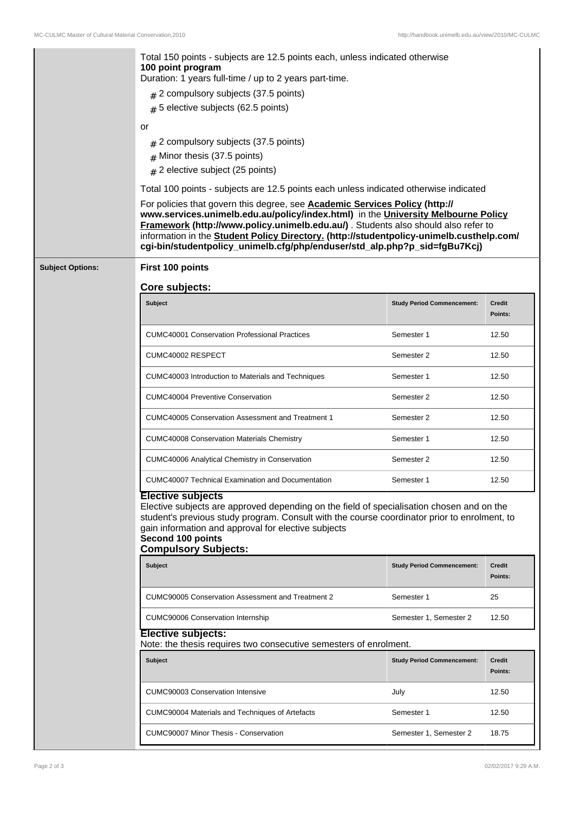|                         | Total 150 points - subjects are 12.5 points each, unless indicated otherwise<br>100 point program<br>Duration: 1 years full-time / up to 2 years part-time.                                                                                                                                                                                                                                                                     |                                   |                          |  |  |
|-------------------------|---------------------------------------------------------------------------------------------------------------------------------------------------------------------------------------------------------------------------------------------------------------------------------------------------------------------------------------------------------------------------------------------------------------------------------|-----------------------------------|--------------------------|--|--|
|                         | $\#$ 2 compulsory subjects (37.5 points)<br>$#$ 5 elective subjects (62.5 points)                                                                                                                                                                                                                                                                                                                                               |                                   |                          |  |  |
|                         | or<br>$#$ 2 compulsory subjects (37.5 points)<br>$#$ Minor thesis (37.5 points)<br># 2 elective subject (25 points)                                                                                                                                                                                                                                                                                                             |                                   |                          |  |  |
|                         | Total 100 points - subjects are 12.5 points each unless indicated otherwise indicated                                                                                                                                                                                                                                                                                                                                           |                                   |                          |  |  |
|                         | For policies that govern this degree, see Academic Services Policy (http://<br>www.services.unimelb.edu.au/policy/index.html) in the University Melbourne Policy<br>Framework (http://www.policy.unimelb.edu.au/) . Students also should also refer to<br>information in the Student Policy Directory. (http://studentpolicy-unimelb.custhelp.com/<br>cgi-bin/studentpolicy_unimelb.cfg/php/enduser/std_alp.php?p_sid=fgBu7Kcj) |                                   |                          |  |  |
| <b>Subject Options:</b> | First 100 points                                                                                                                                                                                                                                                                                                                                                                                                                |                                   |                          |  |  |
|                         | Core subjects:                                                                                                                                                                                                                                                                                                                                                                                                                  |                                   |                          |  |  |
|                         | <b>Subject</b>                                                                                                                                                                                                                                                                                                                                                                                                                  | <b>Study Period Commencement:</b> | <b>Credit</b><br>Points: |  |  |
|                         | <b>CUMC40001 Conservation Professional Practices</b>                                                                                                                                                                                                                                                                                                                                                                            | Semester 1                        | 12.50                    |  |  |
|                         | CUMC40002 RESPECT                                                                                                                                                                                                                                                                                                                                                                                                               | Semester 2                        | 12.50                    |  |  |
|                         | CUMC40003 Introduction to Materials and Techniques                                                                                                                                                                                                                                                                                                                                                                              | Semester 1                        | 12.50                    |  |  |
|                         | <b>CUMC40004 Preventive Conservation</b>                                                                                                                                                                                                                                                                                                                                                                                        | Semester 2                        | 12.50                    |  |  |
|                         | <b>CUMC40005 Conservation Assessment and Treatment 1</b>                                                                                                                                                                                                                                                                                                                                                                        | Semester 2                        | 12.50                    |  |  |
|                         | <b>CUMC40008 Conservation Materials Chemistry</b>                                                                                                                                                                                                                                                                                                                                                                               | Semester 1                        | 12.50                    |  |  |
|                         | CUMC40006 Analytical Chemistry in Conservation                                                                                                                                                                                                                                                                                                                                                                                  | Semester 2                        | 12.50                    |  |  |
|                         | CUMC40007 Technical Examination and Documentation                                                                                                                                                                                                                                                                                                                                                                               | Semester 1                        | 12.50                    |  |  |
|                         | <b>Elective subjects</b><br>Elective subjects are approved depending on the field of specialisation chosen and on the<br>student's previous study program. Consult with the course coordinator prior to enrolment, to<br>gain information and approval for elective subjects<br>Second 100 points<br><b>Compulsory Subjects:</b>                                                                                                |                                   |                          |  |  |
|                         | <b>Subject</b>                                                                                                                                                                                                                                                                                                                                                                                                                  | <b>Study Period Commencement:</b> | Credit<br>Points:        |  |  |
|                         | <b>CUMC90005 Conservation Assessment and Treatment 2</b>                                                                                                                                                                                                                                                                                                                                                                        | Semester 1                        | 25                       |  |  |
|                         | <b>CUMC90006 Conservation Internship</b>                                                                                                                                                                                                                                                                                                                                                                                        | Semester 1, Semester 2            | 12.50                    |  |  |
|                         | <b>Elective subjects:</b><br>Note: the thesis requires two consecutive semesters of enrolment.                                                                                                                                                                                                                                                                                                                                  |                                   |                          |  |  |
|                         | <b>Subject</b>                                                                                                                                                                                                                                                                                                                                                                                                                  | <b>Study Period Commencement:</b> | Credit<br>Points:        |  |  |
|                         | <b>CUMC90003 Conservation Intensive</b>                                                                                                                                                                                                                                                                                                                                                                                         | July                              | 12.50                    |  |  |
|                         | CUMC90004 Materials and Techniques of Artefacts                                                                                                                                                                                                                                                                                                                                                                                 | Semester 1                        | 12.50                    |  |  |
|                         | <b>CUMC90007 Minor Thesis - Conservation</b>                                                                                                                                                                                                                                                                                                                                                                                    | Semester 1, Semester 2            | 18.75                    |  |  |